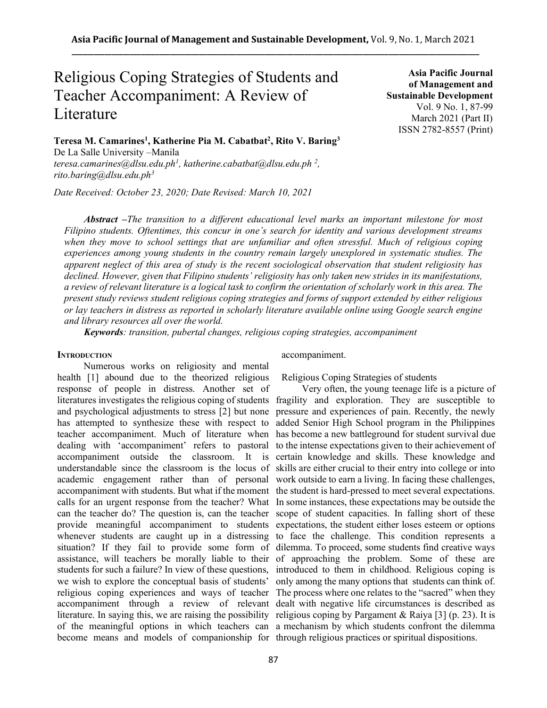# Religious Coping Strategies of Students and Teacher Accompaniment: A Review of Literature

**Asia Pacific Journal of Management and Sustainable Development**  Vol. 9 No. 1, 87-99 March 2021 (Part II) ISSN 2782-8557 (Print)

**Teresa M. Camarines<sup>1</sup> , Katherine Pia M. Cabatbat<sup>2</sup> , Rito V. Baring<sup>3</sup>** De La Salle University –Manila *[teresa.camarines@dlsu.edu.ph](about:blank)<sup>1</sup> , [katherine.cabatbat@dlsu.edu.ph](about:blank) <sup>2</sup> , [rito.baring@dlsu.edu.ph](about:blank)<sup>3</sup>*

*Date Received: October 23, 2020; Date Revised: March 10, 2021*

*Abstract –The transition to a different educational level marks an important milestone for most Filipino students. Oftentimes, this concur in one's search for identity and various development streams when they move to school settings that are unfamiliar and often stressful. Much of religious coping experiences among young students in the country remain largely unexplored in systematic studies. The apparent neglect of this area of study is the recent sociological observation that student religiosity has declined. However, given that Filipino students' religiosity has only taken new strides in its manifestations, a review of relevant literature is a logical task to confirm the orientation of scholarly work in this area. The present study reviews student religious coping strategies and forms of support extended by either religious or lay teachers in distress as reported in scholarly literature available online using Google search engine and library resources all over theworld.*

*Keywords: transition, pubertal changes, religious coping strategies, accompaniment*

#### **INTRODUCTION**

Numerous works on religiosity and mental health [1] abound due to the theorized religious response of people in distress. Another set of we wish to explore the conceptual basis of students' accompaniment.

Religious Coping Strategies of students

literatures investigates the religious coping of students fragility and exploration. They are susceptible to and psychological adjustments to stress [2] but none pressure and experiences of pain. Recently, the newly has attempted to synthesize these with respect to added Senior High School program in the Philippines teacher accompaniment. Much of literature when has become a new battleground for student survival due dealing with 'accompaniment' refers to pastoral to the intense expectations given to their achievement of accompaniment outside the classroom. It is certain knowledge and skills. These knowledge and understandable since the classroom is the locus of skills are either crucial to their entry into college or into academic engagement rather than of personal work outside to earn a living. In facing these challenges, accompaniment with students. But what if the moment the student is hard-pressed to meet several expectations. calls for an urgent response from the teacher? What In some instances, these expectations may be outside the can the teacher do? The question is, can the teacher scope of student capacities. In falling short of these provide meaningful accompaniment to students expectations, the student either loses esteem or options whenever students are caught up in a distressing to face the challenge. This condition represents a situation? If they fail to provide some form of dilemma. To proceed, some students find creative ways assistance, will teachers be morally liable to their of approaching the problem. Some of these are students for such a failure? In view of these questions, introduced to them in childhood. Religious coping is religious coping experiences and ways of teacher The process where one relates to the "sacred" when they accompaniment through a review of relevant dealt with negative life circumstances is described as literature. In saying this, we are raising the possibility religious coping by Pargament & Raiya [3] (p. 23). It is of the meaningful options in which teachers can a mechanism by which students confront the dilemma become means and models of companionship for through religious practices or spiritual dispositions.Very often, the young teenage life is a picture of only among the many options that students can think of.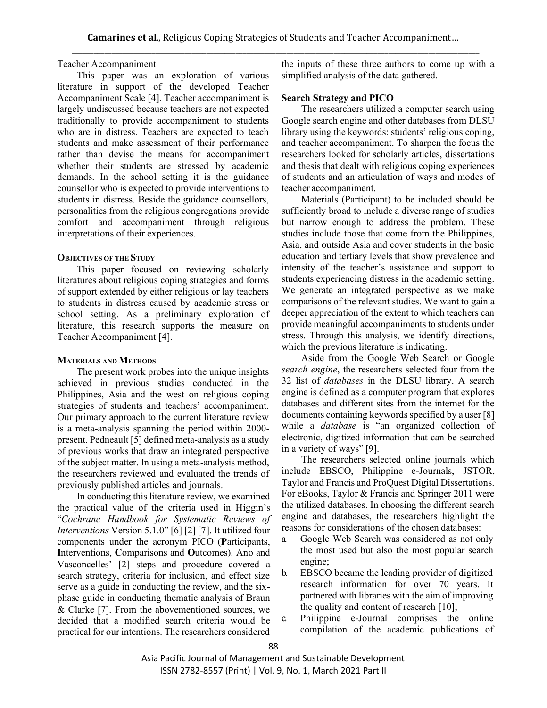# Teacher Accompaniment

This paper was an exploration of various literature in support of the developed Teacher Accompaniment Scale [4]. Teacher accompaniment is largely undiscussed because teachers are not expected traditionally to provide accompaniment to students who are in distress. Teachers are expected to teach students and make assessment of their performance rather than devise the means for accompaniment whether their students are stressed by academic demands. In the school setting it is the guidance counsellor who is expected to provide interventions to students in distress. Beside the guidance counsellors, personalities from the religious congregations provide comfort and accompaniment through religious interpretations of their experiences.

## **OBJECTIVES OF THE STUDY**

This paper focused on reviewing scholarly literatures about religious coping strategies and forms of support extended by either religious or lay teachers to students in distress caused by academic stress or school setting. As a preliminary exploration of literature, this research supports the measure on Teacher Accompaniment [4].

### **MATERIALS AND METHODS**

The present work probes into the unique insights achieved in previous studies conducted in the Philippines, Asia and the west on religious coping strategies of students and teachers' accompaniment. Our primary approach to the current literature review is a meta-analysis spanning the period within 2000 present. Pedneault [5] defined meta-analysis as a study of previous works that draw an integrated perspective of the subject matter. In using a meta-analysis method, the researchers reviewed and evaluated the trends of previously published articles and journals.

In conducting this literature review, we examined the practical value of the criteria used in Higgin's "*Cochrane Handbook for Systematic Reviews of Interventions* Version 5.1.0" [6] [2] [7]. It utilized four components under the acronym PICO (**P**articipants, **I**nterventions, **C**omparisons and **O**utcomes). Ano and Vasconcelles' [2] steps and procedure covered a search strategy, criteria for inclusion, and effect size serve as a guide in conducting the review, and the sixphase guide in conducting thematic analysis of Braun & Clarke [7]. From the abovementioned sources, we decided that a modified search criteria would be practical for our intentions. The researchers considered

the inputs of these three authors to come up with a simplified analysis of the data gathered.

## **Search Strategy and PICO**

The researchers utilized a computer search using Google search engine and other databases from DLSU library using the keywords: students' religious coping, and teacher accompaniment. To sharpen the focus the researchers looked for scholarly articles, dissertations and thesis that dealt with religious coping experiences of students and an articulation of ways and modes of teacher accompaniment.

Materials (Participant) to be included should be sufficiently broad to include a diverse range of studies but narrow enough to address the problem. These studies include those that come from the Philippines, Asia, and outside Asia and cover students in the basic education and tertiary levels that show prevalence and intensity of the teacher's assistance and support to students experiencing distress in the academic setting. We generate an integrated perspective as we make comparisons of the relevant studies. We want to gain a deeper appreciation of the extent to which teachers can provide meaningful accompaniments to students under stress. Through this analysis, we identify directions, which the previous literature is indicating.

Aside from the Google Web Search or Google *search engine*, the researchers selected four from the 32 list of *databases* in the DLSU library. A search engine is defined as a computer program that explores databases and different sites from the internet for the documents containing keywords specified by a user [8] while a *database* is "an organized collection of electronic, digitized information that can be searched in a variety of ways" [9].

The researchers selected online journals which include EBSCO, Philippine e-Journals, JSTOR, Taylor and Francis and ProQuest Digital Dissertations. For eBooks, Taylor & Francis and Springer 2011 were the utilized databases. In choosing the different search engine and databases, the researchers highlight the reasons for considerations of the chosen databases:

- a. Google Web Search was considered as not only the most used but also the most popular search engine;
- b. EBSCO became the leading provider of digitized research information for over 70 years. It partnered with libraries with the aim of improving the quality and content of research [10];
- c. Philippine e-Journal comprises the online compilation of the academic publications of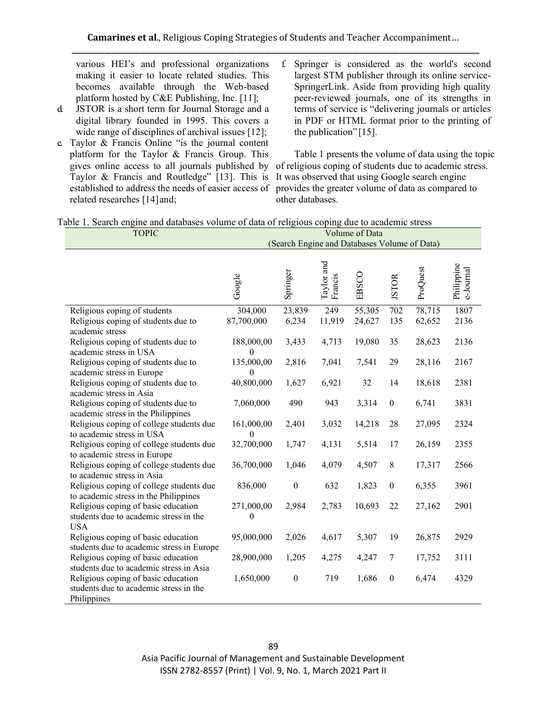various HEI's and professional organizations making it easier to locate related studies. This becomes available through the Web-based platform hosted by C&E Publishing, Inc. [11];

- d. JSTOR is a short term for Journal Storage and a digital library founded in 1995. This covers a wide range of disciplines of archival issues [12];
- e. Taylor & Francis Online "is the journal content platform for the Taylor & Francis Group. This Taylor & Francis and Routledge" [13]. This is established to address the needs of easier access of related researches [14]and;
- f. Springer is considered as the world's second largest STM publisher through its online service-SpringerLink. Aside from providing high quality peer-reviewed journals, one of its strengths in terms of service is "delivering journals or articles in PDF or HTML format prior to the printing of the publication" [15].

gives online access to all journals published by of religious coping of students due to academic stress. Table 1 presents the volume of data using the topic It was observed that using Google search engine provides the greater volume of data as compared to other databases.

| Table 1. Search engine and databases volume of data of religious coping due to academic stress |  |
|------------------------------------------------------------------------------------------------|--|
|------------------------------------------------------------------------------------------------|--|

| <b>TOPIC</b>                                                             |                                              |                  |                       | Volume of Data |                  |          |                         |
|--------------------------------------------------------------------------|----------------------------------------------|------------------|-----------------------|----------------|------------------|----------|-------------------------|
|                                                                          | (Search Engine and Databases Volume of Data) |                  |                       |                |                  |          |                         |
|                                                                          | Google                                       | Springer         | Taylor and<br>Francis | EBSCO          | <b>JSTOR</b>     | ProQuest | Philippine<br>e-Journal |
| Religious coping of students                                             | 304,000                                      | 23,839           | 249                   | 55,305         | 702              | 78,715   | 1807                    |
| Religious coping of students due to                                      | 87,700,000                                   | 6,234            | 11,919                | 24,627         | 135              | 62,652   | 2136                    |
| academic stress                                                          |                                              |                  |                       |                |                  |          |                         |
| Religious coping of students due to                                      | 188,000,00                                   | 3,433            | 4,713                 | 19,080         | 35               | 28,623   | 2136                    |
| academic stress in USA                                                   | 0                                            |                  |                       |                |                  |          |                         |
| Religious coping of students due to                                      | 135,000,00                                   | 2,816            | 7,041                 | 7,541          | 29               | 28,116   | 2167                    |
| academic stress in Europe                                                | 0                                            |                  |                       |                |                  |          |                         |
| Religious coping of students due to                                      | 40,800,000                                   | 1,627            | 6,921                 | 32             | 14               | 18,618   | 2381                    |
| academic stress in Asia                                                  |                                              |                  |                       |                |                  |          |                         |
| Religious coping of students due to                                      | 7,060,000                                    | 490              | 943                   | 3,314          | $\boldsymbol{0}$ | 6,741    | 3831                    |
| academic stress in the Philippines                                       |                                              |                  |                       |                |                  |          |                         |
| Religious coping of college students due<br>to academic stress in USA    | 161,000,00                                   | 2,401            | 3,032                 | 14,218         | 28               | 27,095   | 2324                    |
|                                                                          | 0<br>32,700,000                              |                  |                       |                | 17               |          | 2355                    |
| Religious coping of college students due<br>to academic stress in Europe |                                              | 1,747            | 4,131                 | 5,514          |                  | 26,159   |                         |
| Religious coping of college students due                                 | 36,700,000                                   | 1,046            | 4,079                 | 4,507          | 8                | 17,317   | 2566                    |
| to academic stress in Asia                                               |                                              |                  |                       |                |                  |          |                         |
| Religious coping of college students due                                 | 836,000                                      | $\boldsymbol{0}$ | 632                   | 1,823          | $\boldsymbol{0}$ | 6,355    | 3961                    |
| to academic stress in the Philippines                                    |                                              |                  |                       |                |                  |          |                         |
| Religious coping of basic education                                      | 271,000,00                                   | 2,984            | 2,783                 | 10,693         | 22               | 27,162   | 2901                    |
| students due to academic stress in the                                   | 0                                            |                  |                       |                |                  |          |                         |
| <b>USA</b>                                                               |                                              |                  |                       |                |                  |          |                         |
| Religious coping of basic education                                      | 95,000,000                                   | 2,026            | 4,617                 | 5,307          | 19               | 26,875   | 2929                    |
| students due to academic stress in Europe                                |                                              |                  |                       |                |                  |          |                         |
| Religious coping of basic education                                      | 28,900,000                                   | 1,205            | 4,275                 | 4,247          | 7                | 17,752   | 3111                    |
| students due to academic stress in Asia                                  |                                              |                  |                       |                |                  |          |                         |
| Religious coping of basic education                                      | 1,650,000                                    | $\boldsymbol{0}$ | 719                   | 1,686          | $\boldsymbol{0}$ | 6,474    | 4329                    |
| students due to academic stress in the                                   |                                              |                  |                       |                |                  |          |                         |
| Philippines                                                              |                                              |                  |                       |                |                  |          |                         |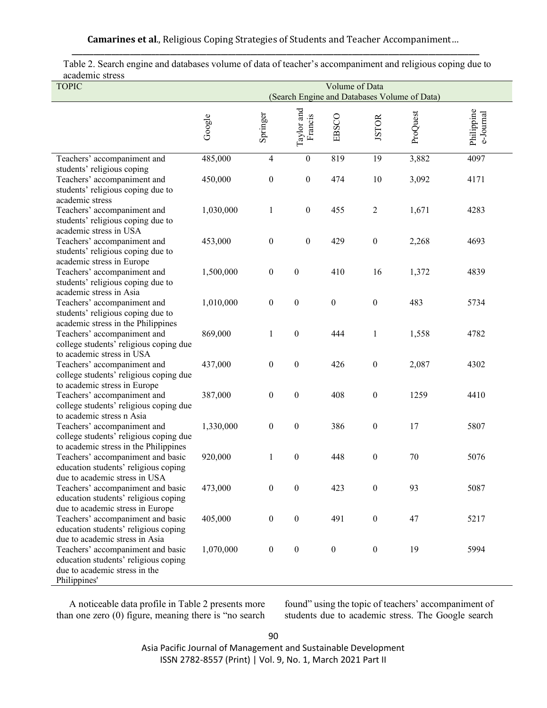**Camarines et al**., Religious Coping Strategies of Students and Teacher Accompaniment… **\_\_\_\_\_\_\_\_\_\_\_\_\_\_\_\_\_\_\_\_\_\_\_\_\_\_\_\_\_\_\_\_\_\_\_\_\_\_\_\_\_\_\_\_\_\_\_\_\_\_\_\_\_\_\_\_\_\_\_\_\_\_\_\_\_\_\_\_\_\_\_\_\_\_\_\_\_\_\_\_\_\_\_\_\_\_\_\_\_\_\_\_\_\_\_\_\_\_\_\_\_\_\_\_\_\_\_\_\_\_\_\_**

| academne su css<br><b>TOPIC</b>                                                                                            | Volume of Data<br>(Search Engine and Databases Volume of Data) |                  |                       |                  |                  |          |                         |
|----------------------------------------------------------------------------------------------------------------------------|----------------------------------------------------------------|------------------|-----------------------|------------------|------------------|----------|-------------------------|
|                                                                                                                            | Google                                                         | Springer         | Taylor and<br>Francis | EBSCO            | <b>JSTOR</b>     | ProQuest | Philippine<br>e-Journal |
| Teachers' accompaniment and                                                                                                | 485,000                                                        | $\overline{4}$   | $\mathbf{0}$          | 819              | 19               | 3,882    | 4097                    |
| students' religious coping<br>Teachers' accompaniment and<br>students' religious coping due to<br>academic stress          | 450,000                                                        | $\boldsymbol{0}$ | $\boldsymbol{0}$      | 474              | 10               | 3,092    | 4171                    |
| Teachers' accompaniment and<br>students' religious coping due to<br>academic stress in USA                                 | 1,030,000                                                      | $\mathbf{1}$     | $\boldsymbol{0}$      | 455              | $\overline{2}$   | 1,671    | 4283                    |
| Teachers' accompaniment and<br>students' religious coping due to<br>academic stress in Europe                              | 453,000                                                        | $\boldsymbol{0}$ | $\boldsymbol{0}$      | 429              | $\boldsymbol{0}$ | 2,268    | 4693                    |
| Teachers' accompaniment and<br>students' religious coping due to<br>academic stress in Asia                                | 1,500,000                                                      | $\boldsymbol{0}$ | $\boldsymbol{0}$      | 410              | 16               | 1,372    | 4839                    |
| Teachers' accompaniment and<br>students' religious coping due to<br>academic stress in the Philippines                     | 1,010,000                                                      | $\boldsymbol{0}$ | $\boldsymbol{0}$      | $\boldsymbol{0}$ | $\boldsymbol{0}$ | 483      | 5734                    |
| Teachers' accompaniment and<br>college students' religious coping due<br>to academic stress in USA                         | 869,000                                                        | $\mathbf{1}$     | $\boldsymbol{0}$      | 444              | $\mathbf{1}$     | 1,558    | 4782                    |
| Teachers' accompaniment and<br>college students' religious coping due<br>to academic stress in Europe                      | 437,000                                                        | $\boldsymbol{0}$ | $\boldsymbol{0}$      | 426              | $\boldsymbol{0}$ | 2,087    | 4302                    |
| Teachers' accompaniment and<br>college students' religious coping due<br>to academic stress n Asia                         | 387,000                                                        | $\boldsymbol{0}$ | $\boldsymbol{0}$      | 408              | $\boldsymbol{0}$ | 1259     | 4410                    |
| Teachers' accompaniment and<br>college students' religious coping due<br>to academic stress in the Philippines             | 1,330,000                                                      | $\boldsymbol{0}$ | $\boldsymbol{0}$      | 386              | $\boldsymbol{0}$ | 17       | 5807                    |
| Teachers' accompaniment and basic<br>education students' religious coping<br>due to academic stress in USA                 | 920,000                                                        | $\mathbf{1}$     | $\boldsymbol{0}$      | 448              | $\boldsymbol{0}$ | 70       | 5076                    |
| Teachers' accompaniment and basic<br>education students' religious coping<br>due to academic stress in Europe              | 473,000                                                        | $\boldsymbol{0}$ | $\boldsymbol{0}$      | 423              | $\boldsymbol{0}$ | 93       | 5087                    |
| Teachers' accompaniment and basic<br>education students' religious coping<br>due to academic stress in Asia                | 405,000                                                        | $\boldsymbol{0}$ | $\boldsymbol{0}$      | 491              | $\boldsymbol{0}$ | 47       | 5217                    |
| Teachers' accompaniment and basic<br>education students' religious coping<br>due to academic stress in the<br>Philippines' | 1,070,000                                                      | $\boldsymbol{0}$ | $\boldsymbol{0}$      | $\boldsymbol{0}$ | $\boldsymbol{0}$ | 19       | 5994                    |

Table 2. Search engine and databases volume of data of teacher's accompaniment and religious coping due to academic stress

A noticeable data profile in Table 2 presents more than one zero (0) figure, meaning there is "no search found" using the topic of teachers' accompaniment of students due to academic stress. The Google search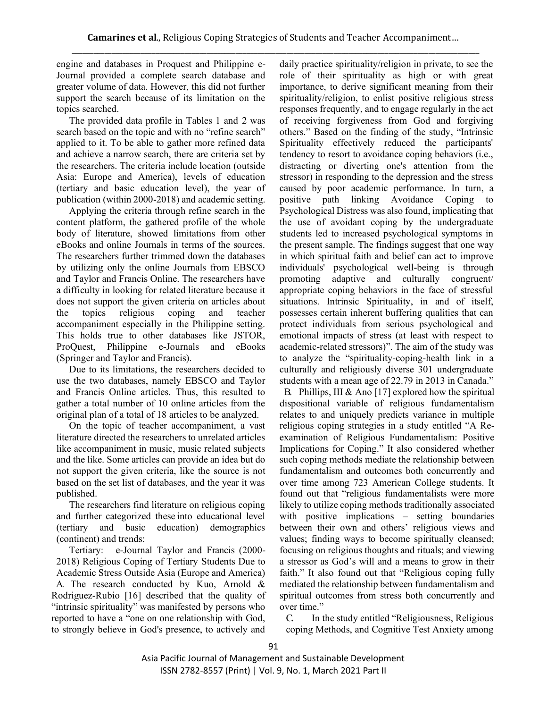engine and databases in Proquest and Philippine e-Journal provided a complete search database and greater volume of data. However, this did not further support the search because of its limitation on the topics searched.

The provided data profile in Tables 1 and 2 was search based on the topic and with no "refine search" applied to it. To be able to gather more refined data and achieve a narrow search, there are criteria set by the researchers. The criteria include location (outside Asia: Europe and America), levels of education (tertiary and basic education level), the year of publication (within 2000-2018) and academic setting.

Applying the criteria through refine search in the content platform, the gathered profile of the whole body of literature, showed limitations from other eBooks and online Journals in terms of the sources. The researchers further trimmed down the databases by utilizing only the online Journals from EBSCO and Taylor and Francis Online. The researchers have a difficulty in looking for related literature because it does not support the given criteria on articles about the topics religious coping and teacher accompaniment especially in the Philippine setting. This holds true to other databases like JSTOR, ProQuest, Philippine e-Journals and eBooks (Springer and Taylor and Francis).

Due to its limitations, the researchers decided to use the two databases, namely EBSCO and Taylor and Francis Online articles. Thus, this resulted to gather a total number of 10 online articles from the original plan of a total of 18 articles to be analyzed.

On the topic of teacher accompaniment, a vast literature directed the researchers to unrelated articles like accompaniment in music, music related subjects and the like. Some articles can provide an idea but do not support the given criteria, like the source is not based on the set list of databases, and the year it was published.

The researchers find literature on religious coping and further categorized these into educational level (tertiary and basic education) demographics (continent) and trends:

Tertiary: e-Journal Taylor and Francis (2000- 2018) Religious Coping of Tertiary Students Due to Academic Stress Outside Asia (Europe and America) A. The research conducted by Kuo, Arnold & Rodriguez-Rubio [16] described that the quality of "intrinsic spirituality" was manifested by persons who reported to have a "one on one relationship with God, to strongly believe in God's presence, to actively and

daily practice spirituality/religion in private, to see the role of their spirituality as high or with great importance, to derive significant meaning from their spirituality/religion, to enlist positive religious stress responses frequently, and to engage regularly in the act of receiving forgiveness from God and forgiving others." Based on the finding of the study, "Intrinsic Spirituality effectively reduced the participants' tendency to resort to avoidance coping behaviors (i.e., distracting or diverting one's attention from the stressor) in responding to the depression and the stress caused by poor academic performance. In turn, a positive path linking Avoidance Coping to Psychological Distress was also found, implicating that the use of avoidant coping by the undergraduate students led to increased psychological symptoms in the present sample. The findings suggest that one way in which spiritual faith and belief can act to improve individuals' psychological well-being is through promoting adaptive and culturally congruent/ appropriate coping behaviors in the face of stressful situations. Intrinsic Spirituality, in and of itself, possesses certain inherent buffering qualities that can protect individuals from serious psychological and emotional impacts of stress (at least with respect to academic-related stressors)". The aim of the study was to analyze the "spirituality-coping-health link in a culturally and religiously diverse 301 undergraduate students with a mean age of 22.79 in 2013 in Canada."

B. Phillips, III & Ano [17] explored how the spiritual dispositional variable of religious fundamentalism relates to and uniquely predicts variance in multiple religious coping strategies in a study entitled "A Reexamination of Religious Fundamentalism: Positive Implications for Coping." It also considered whether such coping methods mediate the relationship between fundamentalism and outcomes both concurrently and over time among 723 American College students. It found out that "religious fundamentalists were more likely to utilize coping methods traditionally associated with positive implications – setting boundaries between their own and others' religious views and values; finding ways to become spiritually cleansed; focusing on religious thoughts and rituals; and viewing a stressor as God's will and a means to grow in their faith." It also found out that "Religious coping fully mediated the relationship between fundamentalism and spiritual outcomes from stress both concurrently and over time."

C. In the study entitled "Religiousness, Religious coping Methods, and Cognitive Test Anxiety among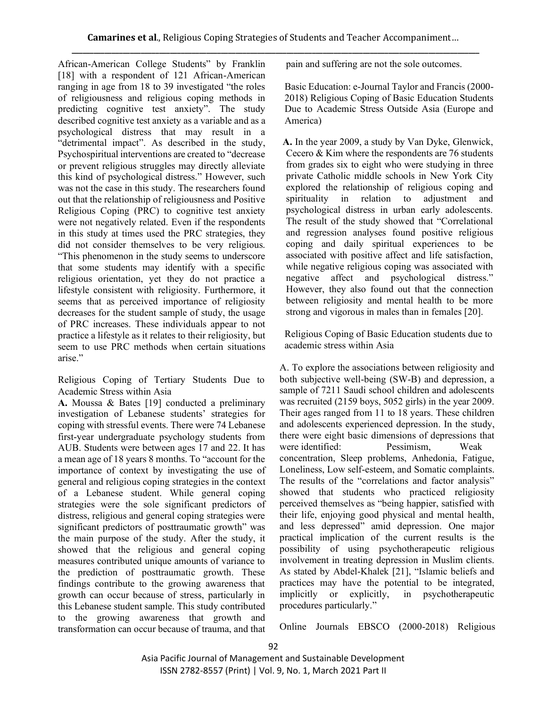African-American College Students" by Franklin [18] with a respondent of 121 African-American ranging in age from 18 to 39 investigated "the roles of religiousness and religious coping methods in predicting cognitive test anxiety". The study described cognitive test anxiety as a variable and as a psychological distress that may result in a "detrimental impact". As described in the study, Psychospiritual interventions are created to "decrease or prevent religious struggles may directly alleviate this kind of psychological distress." However, such was not the case in this study. The researchers found out that the relationship of religiousness and Positive Religious Coping (PRC) to cognitive test anxiety were not negatively related. Even if the respondents in this study at times used the PRC strategies, they did not consider themselves to be very religious. "This phenomenon in the study seems to underscore that some students may identify with a specific religious orientation, yet they do not practice a lifestyle consistent with religiosity. Furthermore, it seems that as perceived importance of religiosity decreases for the student sample of study, the usage of PRC increases. These individuals appear to not practice a lifestyle as it relates to their religiosity, but seem to use PRC methods when certain situations arise."

Religious Coping of Tertiary Students Due to Academic Stress within Asia

**A.** Moussa & Bates [19] conducted a preliminary investigation of Lebanese students' strategies for coping with stressful events. There were 74 Lebanese first-year undergraduate psychology students from AUB. Students were between ages 17 and 22. It has a mean age of 18 years 8 months. To "account for the importance of context by investigating the use of general and religious coping strategies in the context of a Lebanese student. While general coping strategies were the sole significant predictors of distress, religious and general coping strategies were significant predictors of posttraumatic growth" was the main purpose of the study. After the study, it showed that the religious and general coping measures contributed unique amounts of variance to the prediction of posttraumatic growth. These findings contribute to the growing awareness that growth can occur because of stress, particularly in this Lebanese student sample. This study contributed to the growing awareness that growth and transformation can occur because of trauma, and that

pain and suffering are not the sole outcomes.

Basic Education: e-Journal Taylor and Francis (2000- 2018) Religious Coping of Basic Education Students Due to Academic Stress Outside Asia (Europe and America)

**A.** In the year 2009, a study by Van Dyke, Glenwick, Cecero & Kim where the respondents are 76 students from grades six to eight who were studying in three private Catholic middle schools in New York City explored the relationship of religious coping and spirituality in relation to adjustment and psychological distress in urban early adolescents. The result of the study showed that "Correlational and regression analyses found positive religious coping and daily spiritual experiences to be associated with positive affect and life satisfaction, while negative religious coping was associated with negative affect and psychological distress." However, they also found out that the connection between religiosity and mental health to be more strong and vigorous in males than in females [20].

Religious Coping of Basic Education students due to academic stress within Asia

A. To explore the associations between religiosity and both subjective well-being (SW-B) and depression, a sample of 7211 Saudi school children and adolescents was recruited (2159 boys, 5052 girls) in the year 2009. Their ages ranged from 11 to 18 years. These children and adolescents experienced depression. In the study, there were eight basic dimensions of depressions that were identified: Pessimism, Weak concentration, Sleep problems, Anhedonia, Fatigue, Loneliness, Low self-esteem, and Somatic complaints. The results of the "correlations and factor analysis" showed that students who practiced religiosity perceived themselves as "being happier, satisfied with their life, enjoying good physical and mental health, and less depressed" amid depression. One major practical implication of the current results is the possibility of using psychotherapeutic religious involvement in treating depression in Muslim clients. As stated by Abdel-Khalek [21], "Islamic beliefs and practices may have the potential to be integrated, implicitly or explicitly, in psychotherapeutic procedures particularly."

Online Journals EBSCO (2000-2018) Religious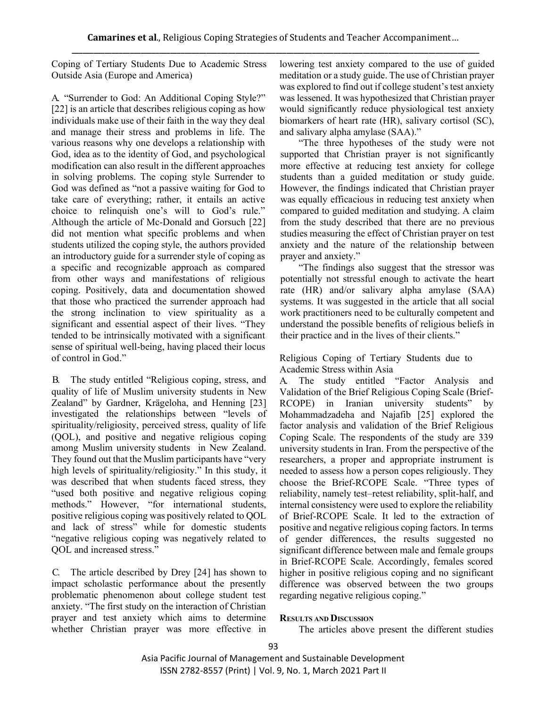Coping of Tertiary Students Due to Academic Stress Outside Asia (Europe and America)

A. "Surrender to God: An Additional Coping Style?" [22] is an article that describes religious coping as how individuals make use of their faith in the way they deal and manage their stress and problems in life. The various reasons why one develops a relationship with God, idea as to the identity of God, and psychological modification can also result in the different approaches in solving problems. The coping style Surrender to God was defined as "not a passive waiting for God to take care of everything; rather, it entails an active choice to relinquish one's will to God's rule." Although the article of Mc-Donald and Gorsuch [22] did not mention what specific problems and when students utilized the coping style, the authors provided an introductory guide for a surrender style of coping as a specific and recognizable approach as compared from other ways and manifestations of religious coping. Positively, data and documentation showed that those who practiced the surrender approach had the strong inclination to view spirituality as a significant and essential aspect of their lives. "They tended to be intrinsically motivated with a significant sense of spiritual well-being, having placed their locus of control in God."

B. The study entitled "Religious coping, stress, and quality of life of Muslim university students in New Zealand" by Gardner, Krägeloha, and Henning [23] investigated the relationships between "levels of spirituality/religiosity, perceived stress, quality of life (QOL), and positive and negative religious coping among Muslim university students in New Zealand. They found out that the Muslim participants have "very high levels of spirituality/religiosity." In this study, it was described that when students faced stress, they "used both positive and negative religious coping methods." However, "for international students, positive religious coping was positively related to QOL and lack of stress" while for domestic students "negative religious coping was negatively related to QOL and increased stress."

C. The article described by Drey [24] has shown to impact scholastic performance about the presently problematic phenomenon about college student test anxiety. "The first study on the interaction of Christian prayer and test anxiety which aims to determine whether Christian prayer was more effective in

lowering test anxiety compared to the use of guided meditation or a study guide. The use of Christian prayer was explored to find out if college student's test anxiety was lessened. It was hypothesized that Christian prayer would significantly reduce physiological test anxiety biomarkers of heart rate (HR), salivary cortisol (SC), and salivary alpha amylase (SAA)."

"The three hypotheses of the study were not supported that Christian prayer is not significantly more effective at reducing test anxiety for college students than a guided meditation or study guide. However, the findings indicated that Christian prayer was equally efficacious in reducing test anxiety when compared to guided meditation and studying. A claim from the study described that there are no previous studies measuring the effect of Christian prayer on test anxiety and the nature of the relationship between prayer and anxiety."

"The findings also suggest that the stressor was potentially not stressful enough to activate the heart rate (HR) and/or salivary alpha amylase (SAA) systems. It was suggested in the article that all social work practitioners need to be culturally competent and understand the possible benefits of religious beliefs in their practice and in the lives of their clients."

Religious Coping of Tertiary Students due to Academic Stress within Asia

A. The study entitled "Factor Analysis and Validation of the Brief Religious Coping Scale (Brief-RCOPE) in Iranian university students" by Mohammadzadeha and Najafib [25] explored the factor analysis and validation of the Brief Religious Coping Scale. The respondents of the study are 339 university students in Iran. From the perspective of the researchers, a proper and appropriate instrument is needed to assess how a person copes religiously. They choose the Brief-RCOPE Scale. "Three types of reliability, namely test–retest reliability, split-half, and internal consistency were used to explore the reliability of Brief-RCOPE Scale. It led to the extraction of positive and negative religious coping factors. In terms of gender differences, the results suggested no significant difference between male and female groups in Brief-RCOPE Scale. Accordingly, females scored higher in positive religious coping and no significant difference was observed between the two groups regarding negative religious coping."

## **RESULTS AND DISCUSSION**

The articles above present the different studies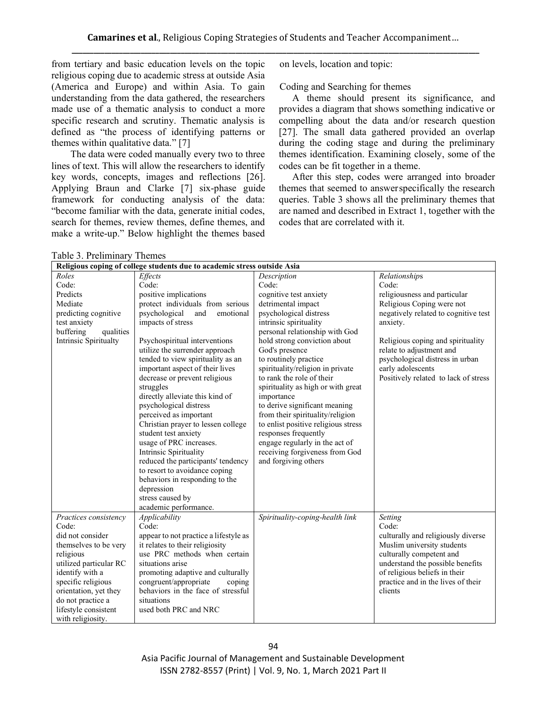from tertiary and basic education levels on the topic religious coping due to academic stress at outside Asia (America and Europe) and within Asia. To gain understanding from the data gathered, the researchers made use of a thematic analysis to conduct a more specific research and scrutiny. Thematic analysis is defined as "the process of identifying patterns or themes within qualitative data." [7]

The data were coded manually every two to three lines of text. This will allow the researchers to identify key words, concepts, images and reflections [26]. Applying Braun and Clarke [7] six-phase guide framework for conducting analysis of the data: "become familiar with the data, generate initial codes, search for themes, review themes, define themes, and make a write-up." Below highlight the themes based

on levels, location and topic:

Coding and Searching for themes

A theme should present its significance, and provides a diagram that shows something indicative or compelling about the data and/or research question [27]. The small data gathered provided an overlap during the coding stage and during the preliminary themes identification. Examining closely, some of the codes can be fit together in a theme.

After this step, codes were arranged into broader themes that seemed to answerspecifically the research queries. Table 3 shows all the preliminary themes that are named and described in Extract 1, together with the codes that are correlated with it.

| Religious coping of college students due to academic stress outside Asia |                                       |                                     |                                      |  |  |
|--------------------------------------------------------------------------|---------------------------------------|-------------------------------------|--------------------------------------|--|--|
| Roles                                                                    | Effects                               | Description                         | Relationships                        |  |  |
| Code:                                                                    | Code:                                 | Code:                               | Code:                                |  |  |
| Predicts                                                                 | positive implications                 | cognitive test anxiety              | religiousness and particular         |  |  |
| Mediate                                                                  | protect individuals from serious      | detrimental impact                  | Religious Coping were not            |  |  |
| predicting cognitive                                                     | psychological<br>and<br>emotional     | psychological distress              | negatively related to cognitive test |  |  |
| test anxiety                                                             | impacts of stress                     | intrinsic spirituality              | anxiety.                             |  |  |
| buffering<br>qualities                                                   |                                       | personal relationship with God      |                                      |  |  |
| Intrinsic Spiritualty                                                    | Psychospiritual interventions         | hold strong conviction about        | Religious coping and spirituality    |  |  |
|                                                                          | utilize the surrender approach        | God's presence                      | relate to adjustment and             |  |  |
|                                                                          | tended to view spirituality as an     | to routinely practice               | psychological distress in urban      |  |  |
|                                                                          | important aspect of their lives       | spirituality/religion in private    | early adolescents                    |  |  |
|                                                                          | decrease or prevent religious         | to rank the role of their           | Positively related to lack of stress |  |  |
|                                                                          | struggles                             | spirituality as high or with great  |                                      |  |  |
|                                                                          | directly alleviate this kind of       | importance                          |                                      |  |  |
|                                                                          | psychological distress                | to derive significant meaning       |                                      |  |  |
|                                                                          | perceived as important                | from their spirituality/religion    |                                      |  |  |
|                                                                          | Christian prayer to lessen college    | to enlist positive religious stress |                                      |  |  |
|                                                                          | student test anxiety                  | responses frequently                |                                      |  |  |
|                                                                          | usage of PRC increases.               | engage regularly in the act of      |                                      |  |  |
|                                                                          | Intrinsic Spirituality                | receiving forgiveness from God      |                                      |  |  |
|                                                                          | reduced the participants' tendency    | and forgiving others                |                                      |  |  |
|                                                                          | to resort to avoidance coping         |                                     |                                      |  |  |
|                                                                          | behaviors in responding to the        |                                     |                                      |  |  |
|                                                                          | depression                            |                                     |                                      |  |  |
|                                                                          | stress caused by                      |                                     |                                      |  |  |
|                                                                          | academic performance.                 |                                     |                                      |  |  |
| Practices consistency                                                    | Applicability                         | Spirituality-coping-health link     | Setting                              |  |  |
| Code:                                                                    | Code:                                 |                                     | Code:                                |  |  |
| did not consider                                                         | appear to not practice a lifestyle as |                                     | culturally and religiously diverse   |  |  |
| themselves to be very                                                    | it relates to their religiosity       |                                     | Muslim university students           |  |  |
| religious                                                                | use PRC methods when certain          |                                     | culturally competent and             |  |  |
| utilized particular RC                                                   | situations arise                      |                                     | understand the possible benefits     |  |  |
| identify with a                                                          | promoting adaptive and culturally     |                                     | of religious beliefs in their        |  |  |
| specific religious                                                       | congruent/appropriate<br>coping       |                                     | practice and in the lives of their   |  |  |
| orientation, yet they                                                    | behaviors in the face of stressful    |                                     | clients                              |  |  |
| do not practice a                                                        | situations                            |                                     |                                      |  |  |
| lifestyle consistent                                                     | used both PRC and NRC                 |                                     |                                      |  |  |
| with religiosity.                                                        |                                       |                                     |                                      |  |  |

Table 3. Preliminary Themes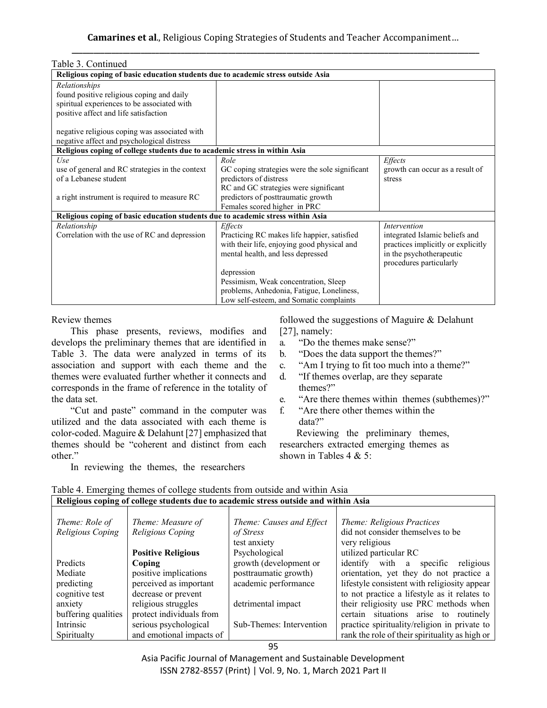| Table 3. Continued                                                               |                                                |                                    |  |  |  |  |
|----------------------------------------------------------------------------------|------------------------------------------------|------------------------------------|--|--|--|--|
| Religious coping of basic education students due to academic stress outside Asia |                                                |                                    |  |  |  |  |
| Relationships                                                                    |                                                |                                    |  |  |  |  |
| found positive religious coping and daily                                        |                                                |                                    |  |  |  |  |
| spiritual experiences to be associated with                                      |                                                |                                    |  |  |  |  |
| positive affect and life satisfaction                                            |                                                |                                    |  |  |  |  |
|                                                                                  |                                                |                                    |  |  |  |  |
| negative religious coping was associated with                                    |                                                |                                    |  |  |  |  |
| negative affect and psychological distress                                       |                                                |                                    |  |  |  |  |
| Religious coping of college students due to academic stress in within Asia       |                                                |                                    |  |  |  |  |
| Use                                                                              | Role                                           | Effects                            |  |  |  |  |
| use of general and RC strategies in the context                                  | GC coping strategies were the sole significant | growth can occur as a result of    |  |  |  |  |
| of a Lebanese student                                                            | predictors of distress                         | stress                             |  |  |  |  |
|                                                                                  | RC and GC strategies were significant          |                                    |  |  |  |  |
| a right instrument is required to measure RC                                     | predictors of posttraumatic growth             |                                    |  |  |  |  |
|                                                                                  | Females scored higher in PRC                   |                                    |  |  |  |  |
| Religious coping of basic education students due to academic stress within Asia  |                                                |                                    |  |  |  |  |
| Relationship                                                                     | Effects                                        | <i>Intervention</i>                |  |  |  |  |
| Correlation with the use of RC and depression                                    | Practicing RC makes life happier, satisfied    | integrated Islamic beliefs and     |  |  |  |  |
|                                                                                  | with their life, enjoying good physical and    | practices implicitly or explicitly |  |  |  |  |
|                                                                                  | mental health, and less depressed              | in the psychotherapeutic           |  |  |  |  |
|                                                                                  |                                                | procedures particularly            |  |  |  |  |
|                                                                                  | depression                                     |                                    |  |  |  |  |
|                                                                                  | Pessimism, Weak concentration, Sleep           |                                    |  |  |  |  |
|                                                                                  | problems, Anhedonia, Fatigue, Loneliness,      |                                    |  |  |  |  |
|                                                                                  | Low self-esteem, and Somatic complaints        |                                    |  |  |  |  |

Review themes

This phase presents, reviews, modifies and develops the preliminary themes that are identified in Table 3. The data were analyzed in terms of its association and support with each theme and the themes were evaluated further whether it connects and corresponds in the frame of reference in the totality of the data set.

"Cut and paste" command in the computer was utilized and the data associated with each theme is color-coded. Maguire & Delahunt [27] emphasized that themes should be "coherent and distinct from each other."

In reviewing the themes, the researchers

followed the suggestions of Maguire & Delahunt [27], namely:

- a. "Do the themes make sense?"
- b. "Does the data support the themes?"
- c. "Am I trying to fit too much into a theme?"
- d. "If themes overlap, are they separate themes?"
- e. "Are there themes within themes (subthemes)?"
- f. "Are there other themes within the data?"

Reviewing the preliminary themes, researchers extracted emerging themes as shown in Tables 4 & 5:

| Theme: Role of      | Theme: Measure of         | Theme: Causes and Effect | Theme: Religious Practices                     |
|---------------------|---------------------------|--------------------------|------------------------------------------------|
| Religious Coping    | Religious Coping          | of Stress                | did not consider themselves to be              |
|                     |                           | test anxiety             | very religious                                 |
|                     | <b>Positive Religious</b> | Psychological            | utilized particular RC                         |
| Predicts            | Coping                    | growth (development or   | identify with<br>specific<br>religious<br>a    |
| Mediate             | positive implications     | posttraumatic growth)    | orientation, yet they do not practice a        |
| predicting          | perceived as important    | academic performance     | lifestyle consistent with religiosity appear   |
| cognitive test      | decrease or prevent       |                          | to not practice a lifestyle as it relates to   |
| anxiety             | religious struggles       | detrimental impact       | their religiosity use PRC methods when         |
| buffering qualities | protect individuals from  |                          | certain situations arise to routinely          |
| Intrinsic           | serious psychological     | Sub-Themes: Intervention | practice spirituality/religion in private to   |
| Spiritualty         | and emotional impacts of  |                          | rank the role of their spirituality as high or |

#### Table 4. Emerging themes of college students from outside and within Asia **Religious coping of college students due to academic stress outside and within Asia**

Asia Pacific Journal of Management and Sustainable Development ISSN 2782-8557 (Print) | Vol. 9, No. 1, March 2021 Part II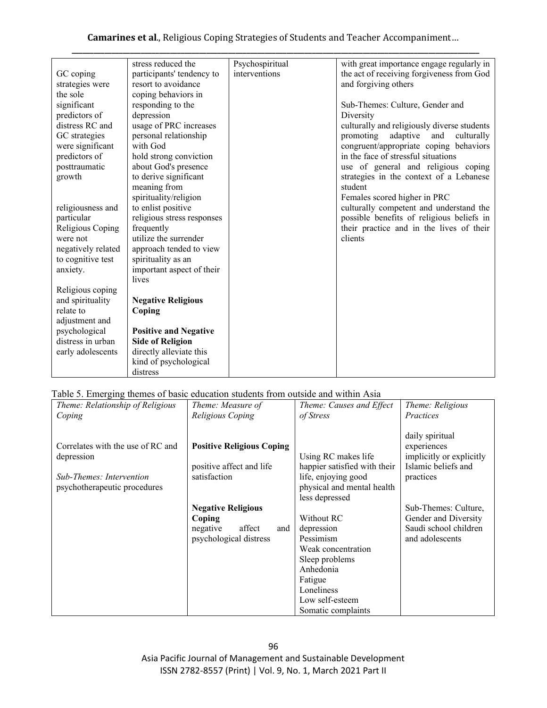**Camarines et al**., Religious Coping Strategies of Students and Teacher Accompaniment…

| Psychospiritual<br>stress reduced the<br>GC coping<br>participants' tendency to<br>interventions<br>resort to avoidance<br>and forgiving others<br>strategies were<br>the sole<br>coping behaviors in<br>responding to the<br>significant<br>Sub-Themes: Culture, Gender and<br>predictors of<br>depression<br>Diversity<br>distress RC and<br>usage of PRC increases<br>GC strategies<br>personal relationship<br>adaptive<br>promoting<br>and<br>were significant<br>with God<br>in the face of stressful situations<br>predictors of<br>hold strong conviction<br>posttraumatic<br>about God's presence<br>to derive significant<br>growth<br>meaning from<br>student<br>spirituality/religion<br>Females scored higher in PRC<br>to enlist positive<br>religiousness and<br>particular<br>religious stress responses<br>frequently<br>Religious Coping<br>utilize the surrender<br>clients<br>were not<br>approach tended to view<br>negatively related<br>to cognitive test<br>spirituality as an<br>important aspect of their<br>anxiety.<br>lives<br>Religious coping<br>and spirituality<br><b>Negative Religious</b><br>relate to<br>Coping<br>adjustment and<br>psychological<br><b>Positive and Negative</b><br>distress in urban<br><b>Side of Religion</b><br>directly alleviate this<br>early adolescents |                       |                                                                                                                                                                                                                                                                                                                                                                                                                     |
|-------------------------------------------------------------------------------------------------------------------------------------------------------------------------------------------------------------------------------------------------------------------------------------------------------------------------------------------------------------------------------------------------------------------------------------------------------------------------------------------------------------------------------------------------------------------------------------------------------------------------------------------------------------------------------------------------------------------------------------------------------------------------------------------------------------------------------------------------------------------------------------------------------------------------------------------------------------------------------------------------------------------------------------------------------------------------------------------------------------------------------------------------------------------------------------------------------------------------------------------------------------------------------------------------------------------------|-----------------------|---------------------------------------------------------------------------------------------------------------------------------------------------------------------------------------------------------------------------------------------------------------------------------------------------------------------------------------------------------------------------------------------------------------------|
|                                                                                                                                                                                                                                                                                                                                                                                                                                                                                                                                                                                                                                                                                                                                                                                                                                                                                                                                                                                                                                                                                                                                                                                                                                                                                                                         |                       | with great importance engage regularly in<br>the act of receiving forgiveness from God<br>culturally and religiously diverse students<br>culturally<br>congruent/appropriate coping behaviors<br>use of general and religious coping<br>strategies in the context of a Lebanese<br>culturally competent and understand the<br>possible benefits of religious beliefs in<br>their practice and in the lives of their |
| distress                                                                                                                                                                                                                                                                                                                                                                                                                                                                                                                                                                                                                                                                                                                                                                                                                                                                                                                                                                                                                                                                                                                                                                                                                                                                                                                | kind of psychological |                                                                                                                                                                                                                                                                                                                                                                                                                     |

# Table 5. Emerging themes of basic education students from outside and within Asia

| Theme: Relationship of Religious  | Theme: Measure of                | Theme: Causes and Effect     | Theme: Religious         |
|-----------------------------------|----------------------------------|------------------------------|--------------------------|
| Coping                            | Religious Coping                 | of Stress                    | Practices                |
|                                   |                                  |                              |                          |
|                                   |                                  |                              | daily spiritual          |
| Correlates with the use of RC and | <b>Positive Religious Coping</b> |                              | experiences              |
| depression                        |                                  | Using RC makes life          | implicitly or explicitly |
|                                   | positive affect and life         | happier satisfied with their | Islamic beliefs and      |
| Sub-Themes: Intervention          | satisfaction                     | life, enjoying good          | practices                |
| psychotherapeutic procedures      |                                  | physical and mental health   |                          |
|                                   |                                  | less depressed               |                          |
|                                   | <b>Negative Religious</b>        |                              | Sub-Themes: Culture,     |
|                                   | Coping                           | Without RC                   | Gender and Diversity     |
|                                   | affect<br>negative<br>and        | depression                   | Saudi school children    |
|                                   | psychological distress           | Pessimism                    | and adolescents          |
|                                   |                                  | Weak concentration           |                          |
|                                   |                                  | Sleep problems               |                          |
|                                   |                                  | Anhedonia                    |                          |
|                                   |                                  | Fatigue                      |                          |
|                                   |                                  | Loneliness                   |                          |
|                                   |                                  | Low self-esteem              |                          |
|                                   |                                  | Somatic complaints           |                          |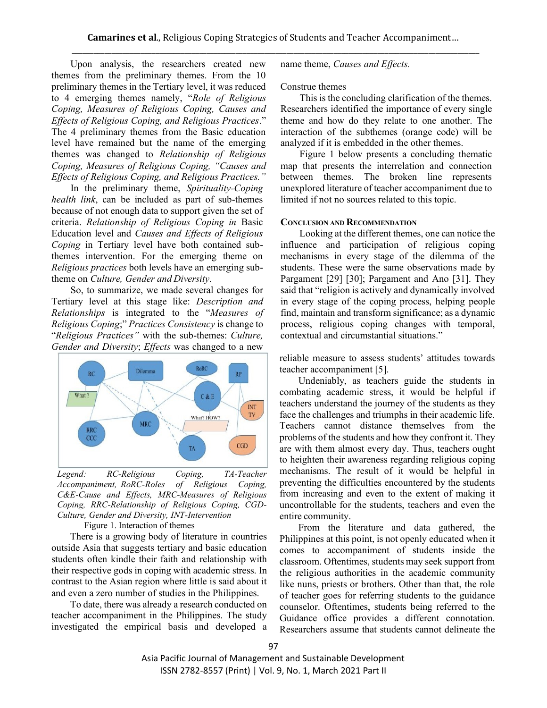Upon analysis, the researchers created new themes from the preliminary themes. From the 10 preliminary themes in the Tertiary level, it was reduced to 4 emerging themes namely, "*Role of Religious Coping, Measures of Religious Coping, Causes and Effects of Religious Coping, and Religious Practices*." The 4 preliminary themes from the Basic education level have remained but the name of the emerging themes was changed to *Relationship of Religious Coping, Measures of Religious Coping, "Causes and Effects of Religious Coping, and Religious Practices."*

In the preliminary theme, *Spirituality-Coping health link*, can be included as part of sub-themes because of not enough data to support given the set of criteria. *Relationship of Religious Coping in* Basic Education level and *Causes and Effects of Religious Coping* in Tertiary level have both contained subthemes intervention. For the emerging theme on *Religious practices* both levels have an emerging subtheme on *Culture, Gender and Diversity*.

So, to summarize, we made several changes for Tertiary level at this stage like: *Description and Relationships* is integrated to the "*Measures of Religious Coping*;" *Practices Consistency* is change to "*Religious Pra*c*tices"* with the sub-themes: *Culture, Gender and Diversity*; *Effects* was changed to a new



*Legend: RC-Religious Coping, TA-Teacher Accompaniment, RoRC-Roles of Religious Coping, C&E-Cause and Effects, MRC-Measures of Religious Coping, RRC-Relationship of Religious Coping, CGD-Culture, Gender and Diversity, INT-Intervention*

Figure 1. Interaction of themes

There is a growing body of literature in countries outside Asia that suggests tertiary and basic education students often kindle their faith and relationship with their respective gods in coping with academic stress. In contrast to the Asian region where little is said about it and even a zero number of studies in the Philippines.

To date, there was already a research conducted on teacher accompaniment in the Philippines. The study investigated the empirical basis and developed a name theme, *Causes and Effects.*

#### Construe themes

This is the concluding clarification of the themes. Researchers identified the importance of every single theme and how do they relate to one another. The interaction of the subthemes (orange code) will be analyzed if it is embedded in the other themes.

Figure 1 below presents a concluding thematic map that presents the interrelation and connection between themes. The broken line represents unexplored literature of teacher accompaniment due to limited if not no sources related to this topic.

#### **CONCLUSION AND RECOMMENDATION**

Looking at the different themes, one can notice the influence and participation of religious coping mechanisms in every stage of the dilemma of the students. These were the same observations made by Pargament [29] [30]; Pargament and Ano [31]. They said that "religion is actively and dynamically involved in every stage of the coping process, helping people find, maintain and transform significance; as a dynamic process, religious coping changes with temporal, contextual and circumstantial situations."

reliable measure to assess students' attitudes towards teacher accompaniment [5].

Undeniably, as teachers guide the students in combating academic stress, it would be helpful if teachers understand the journey of the students as they face the challenges and triumphs in their academic life. Teachers cannot distance themselves from the problems of the students and how they confront it. They are with them almost every day. Thus, teachers ought to heighten their awareness regarding religious coping mechanisms. The result of it would be helpful in preventing the difficulties encountered by the students from increasing and even to the extent of making it uncontrollable for the students, teachers and even the entire community.

From the literature and data gathered, the Philippines at this point, is not openly educated when it comes to accompaniment of students inside the classroom. Oftentimes, students may seek support from the religious authorities in the academic community like nuns, priests or brothers. Other than that, the role of teacher goes for referring students to the guidance counselor. Oftentimes, students being referred to the Guidance office provides a different connotation. Researchers assume that students cannot delineate the

Asia Pacific Journal of Management and Sustainable Development ISSN 2782-8557 (Print) | Vol. 9, No. 1, March 2021 Part II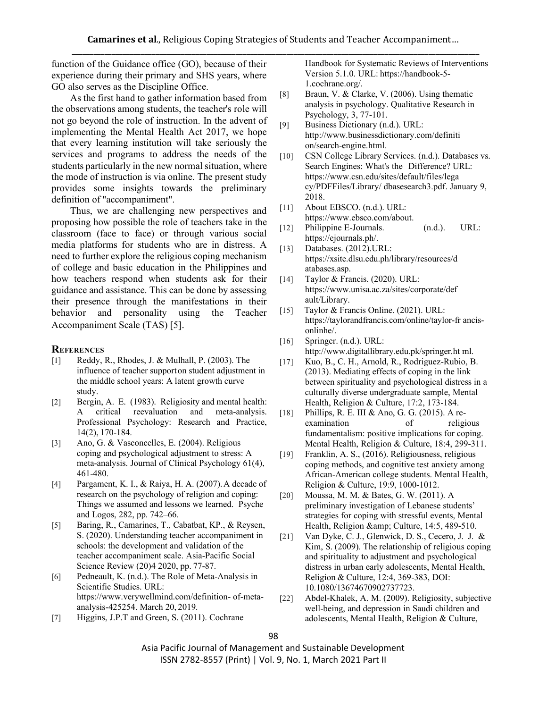function of the Guidance office (GO), because of their experience during their primary and SHS years, where GO also serves as the Discipline Office.

As the first hand to gather information based from the observations among students, the teacher's role will not go beyond the role of instruction. In the advent of implementing the Mental Health Act 2017, we hope that every learning institution will take seriously the services and programs to address the needs of the students particularly in the new normal situation, where the mode of instruction is via online. The present study provides some insights towards the preliminary definition of "accompaniment".

Thus, we are challenging new perspectives and proposing how possible the role of teachers take in the classroom (face to face) or through various social media platforms for students who are in distress. A need to further explore the religious coping mechanism of college and basic education in the Philippines and how teachers respond when students ask for their guidance and assistance. This can be done by assessing their presence through the manifestations in their behavior and personality using the Teacher Accompaniment Scale (TAS) [5].

## **REFERENCES**

- [1] Reddy, R., Rhodes, J. & Mulhall, P. (2003). The influence of teacher supporton student adjustment in the middle school years: A latent growth curve study.
- [2] Bergin, A. E. (1983). Religiosity and mental health: A critical reevaluation and meta-analysis. Professional Psychology: Research and Practice, 14(2), 170-184.
- [3] Ano, G. & Vasconcelles, E. (2004). Religious coping and psychological adjustment to stress: A meta-analysis. Journal of Clinical Psychology 61(4), 461-480.
- [4] Pargament, K. I., & Raiya, H. A. (2007).A decade of research on the psychology of religion and coping: Things we assumed and lessons we learned. Psyche and Logos, 282, pp. 742–66.
- [5] Baring, R., Camarines, T., Cabatbat, KP., & Reysen, S. (2020). Understanding teacher accompaniment in schools: the development and validation of the teacher accompaniment scale. Asia-Pacific Social Science Review (20)4 2020, pp. 77-87.
- [6] Pedneault, K. (n.d.). The Role of Meta-Analysis in Scientific Studies. URL[:](https://www.verywellmind.com/definition-of-meta-analysis-425254) [https://www.verywellmind.com/definition-](https://www.verywellmind.com/definition-of-meta-analysis-425254) [of-meta](https://www.verywellmind.com/definition-of-meta-analysis-425254)[analysis-425254.](https://www.verywellmind.com/definition-of-meta-analysis-425254) March 20, 2019.
- [7] Higgins, J.P.T and Green, S. (2011). Cochrane

Handbook for Systematic Reviews of Interventions Version 5.1.0. URL: [https://handbook-5-](https://handbook-5-1.cochrane.org/) [1.cochrane.org/.](https://handbook-5-1.cochrane.org/)

- [8] Braun, V. & Clarke, V. (2006). Using thematic analysis in psychology. Qualitative Research in Psychology, 3, 77-101.
- [9] Business Dictionary (n.d.). URL[:](http://www.businessdictionary.com/definition/search-engine.html) [http://www.businessdictionary.com/definiti](http://www.businessdictionary.com/definition/search-engine.html) [on/search-engine.html.](http://www.businessdictionary.com/definition/search-engine.html)
- [10] CSN College Library Services. (n.d.). Databases vs. Search Engines: What's the Difference? UR[L:](https://www.csn.edu/sites/default/files/legacy/PDFFiles/Library/%20dbasesearch3.pdf) [https://www.csn.edu/sites/default/files/lega](https://www.csn.edu/sites/default/files/legacy/PDFFiles/Library/%20dbasesearch3.pdf) [cy/PDFFiles/Library/ dbasesearch3.pdf.](https://www.csn.edu/sites/default/files/legacy/PDFFiles/Library/%20dbasesearch3.pdf) January 9, 2018.
- [11] About EBSCO. (n.d.). URL: https:/[/www.ebsco.com/abou](http://www.ebsco.com/abou)[t.](https://www.ebsco.com/about)
- [12] Philippine E-Journals. (n.d.). URL: https://ejournals.ph/.
- [13] Databases. (2012).URL: https://xsite.dlsu.edu.ph/library/resources/d atabases.a[sp.](https://xsite.dlsu.edu.ph/library/resources/databases.asp)
- [14] Taylor & Francis. (2020). URL: https:/[/www.unisa.ac.za/sites/corporate/def](http://www.unisa.ac.za/sites/corporate/def) ault/Library.
- [15] Taylor & Francis Online. (2021). URL: https://taylorandfrancis.com/online/taylor-fr ancisonlinhe/.
- [16] Springer. (n.d.). URL[:](http://www.digitallibrary.edu.pk/springer.ht) <http://www.digitallibrary.edu.pk/springer.ht> ml.
- [17] Kuo, B., C. H., Arnold, R., Rodriguez-Rubio, B. (2013). Mediating effects of coping in the link between spirituality and psychological distress in a culturally diverse undergraduate sample, Mental Health, Religion & Culture, 17:2, 173-184.
- [18] Phillips, R. E. III & Ano, G. G. (2015). A reexamination of religious fundamentalism: positive implications for coping. Mental Health, Religion & Culture, 18:4, 299-311.
- [19] Franklin, A. S., (2016). Religiousness, religious coping methods, and cognitive test anxiety among African-American college students. Mental Health, Religion & Culture, 19:9, 1000-1012.
- [20] Moussa, M. M. & Bates, G. W. (2011). A preliminary investigation of Lebanese students' strategies for coping with stressful events, Mental Health, Religion & amp; Culture, 14:5, 489-510.
- [21] Van Dyke, C. J., Glenwick, D. S., Cecero, J. J. & Kim, S. (2009). The relationship of religious coping and spirituality to adjustment and psychological distress in urban early adolescents, Mental Health, Religion & Culture, 12:4, 369-383, DOI: [10.1080/13674670902737723.](https://doi.org/10.1080/13674670902737723)
- [22] Abdel-Khalek, A. M. (2009). Religiosity, subjective well-being, and depression in Saudi children and adolescents, Mental Health, Religion & Culture,

Asia Pacific Journal of Management and Sustainable Development ISSN 2782-8557 (Print) | Vol. 9, No. 1, March 2021 Part II